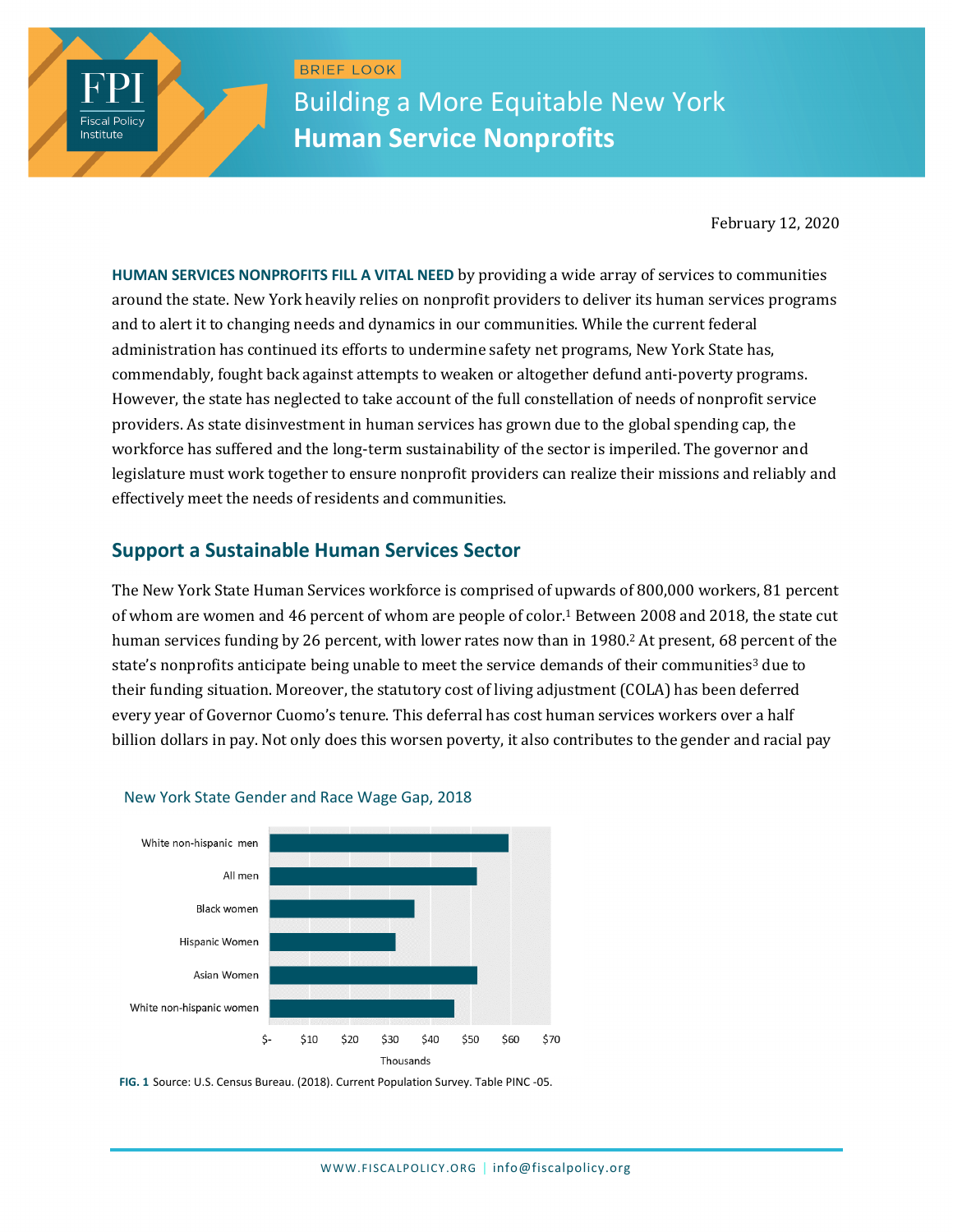BRIEF LOOK Building a More Equitable New York **Human Service Nonprofits**

February 12, 2020

**HUMAN SERVICES NONPROFITS FILL A VITAL NEED** by providing a wide array of services to communities around the state. New York heavily relies on nonprofit providers to deliver its human services programs and to alert it to changing needs and dynamics in our communities. While the current federal administration has continued its efforts to undermine safety net programs, New York State has, commendably, fought back against attempts to weaken or altogether defund anti-poverty programs. However, the state has neglected to take account of the full constellation of needs of nonprofit service providers. As state disinvestment in human services has grown due to the global spending cap, the workforce has suffered and the long-term sustainability of the sector is imperiled. The governor and legislature must work together to ensure nonprofit providers can realize their missions and reliably and effectively meet the needs of residents and communities.

# **Support a Sustainable Human Services Sector**

**Fiscal Policy** Institute

> The New York State Human Services workforce is comprised of upwards of 800,000 workers, 81 percent of whom are women and 46 percent of whom are people of color.<sup>1</sup> Between 2008 and 2018, the state cut human services funding by 26 percent, with lower rates now than in 1980. <sup>2</sup> At present, 68 percent of the state's nonprofits anticipate being unable to meet the service demands of their communities<sup>3</sup> due to their funding situation. Moreover, the statutory cost of living adjustment (COLA) has been deferred every year of Governor Cuomo's tenure. This deferral has cost human services workers over a half billion dollars in pay. Not only does this worsen poverty, it also contributes to the gender and racial pay



#### New York State Gender and Race Wage Gap, 2018

**FIG. 1** Source: U.S. Census Bureau. (2018). Current Population Survey. Table PINC -05.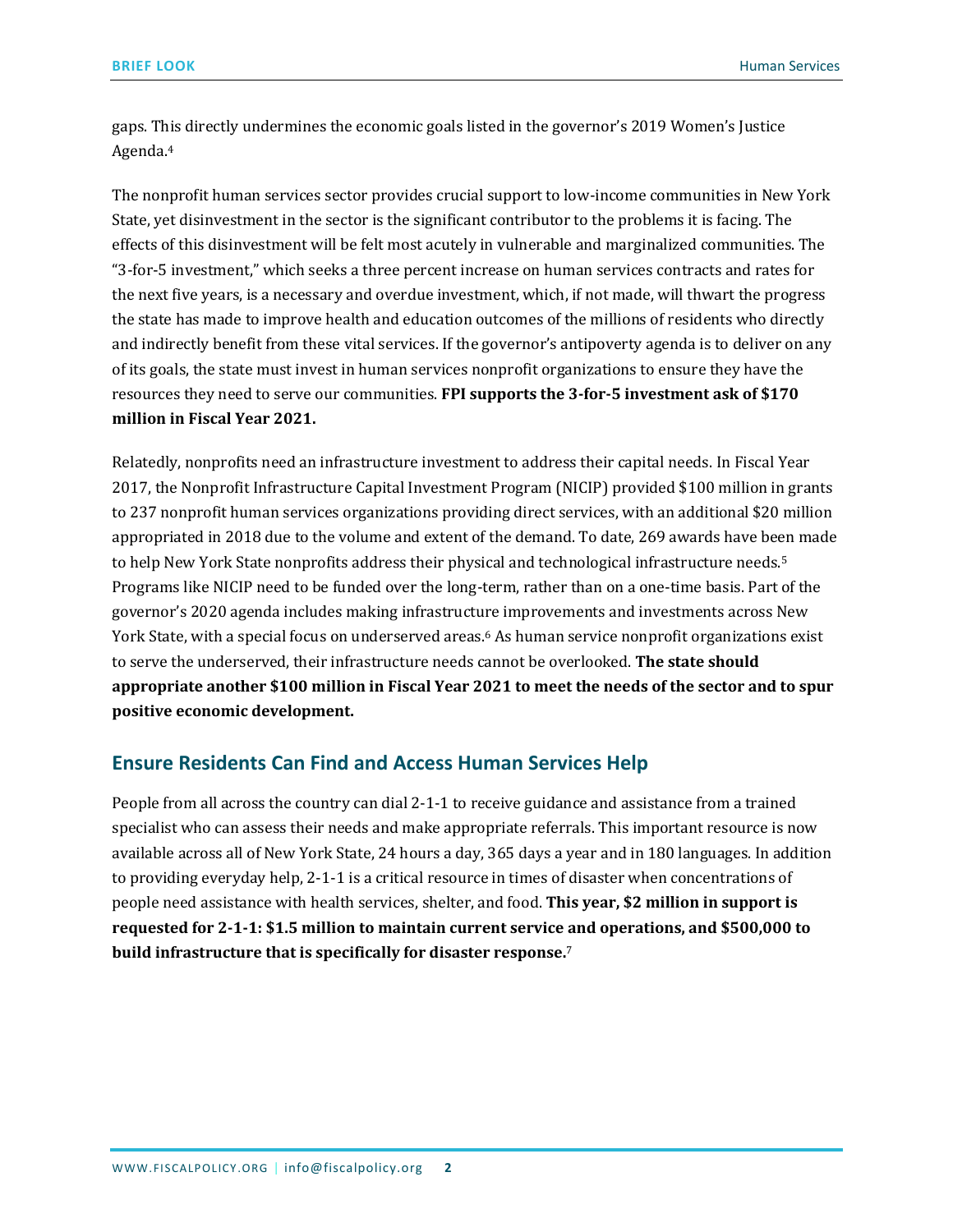gaps. This directly undermines the economic goals listed in the governor's 2019 Women's Justice Agenda. 4

The nonprofit human services sector provides crucial support to low-income communities in New York State, yet disinvestment in the sector is the significant contributor to the problems it is facing. The effects of this disinvestment will be felt most acutely in vulnerable and marginalized communities. The "3-for-5 investment," which seeks a three percent increase on human services contracts and rates for the next five years, is a necessary and overdue investment, which, if not made, will thwart the progress the state has made to improve health and education outcomes of the millions of residents who directly and indirectly benefit from these vital services. If the governor's antipoverty agenda is to deliver on any of its goals, the state must invest in human services nonprofit organizations to ensure they have the resources they need to serve our communities. **FPI supports the 3-for-5 investment ask of \$170 million in Fiscal Year 2021.**

Relatedly, nonprofits need an infrastructure investment to address their capital needs. In Fiscal Year 2017, the Nonprofit Infrastructure Capital Investment Program (NICIP) provided \$100 million in grants to 237 nonprofit human services organizations providing direct services, with an additional \$20 million appropriated in 2018 due to the volume and extent of the demand. To date, 269 awards have been made to help New York State nonprofits address their physical and technological infrastructure needs.<sup>5</sup> Programs like NICIP need to be funded over the long-term, rather than on a one-time basis. Part of the governor's 2020 agenda includes making infrastructure improvements and investments across New York State, with a special focus on underserved areas.<sup>6</sup> As human service nonprofit organizations exist to serve the underserved, their infrastructure needs cannot be overlooked. **The state should appropriate another \$100 million in Fiscal Year 2021 to meet the needs of the sector and to spur positive economic development.**

### **Ensure Residents Can Find and Access Human Services Help**

People from all across the country can dial 2-1-1 to receive guidance and assistance from a trained specialist who can assess their needs and make appropriate referrals. This important resource is now available across all of New York State, 24 hours a day, 365 days a year and in 180 languages. In addition to providing everyday help, 2-1-1 is a critical resource in times of disaster when concentrations of people need assistance with health services, shelter, and food. **This year, \$2 million in support is requested for 2-1-1: \$1.5 million to maintain current service and operations, and \$500,000 to build infrastructure that is specifically for disaster response.**7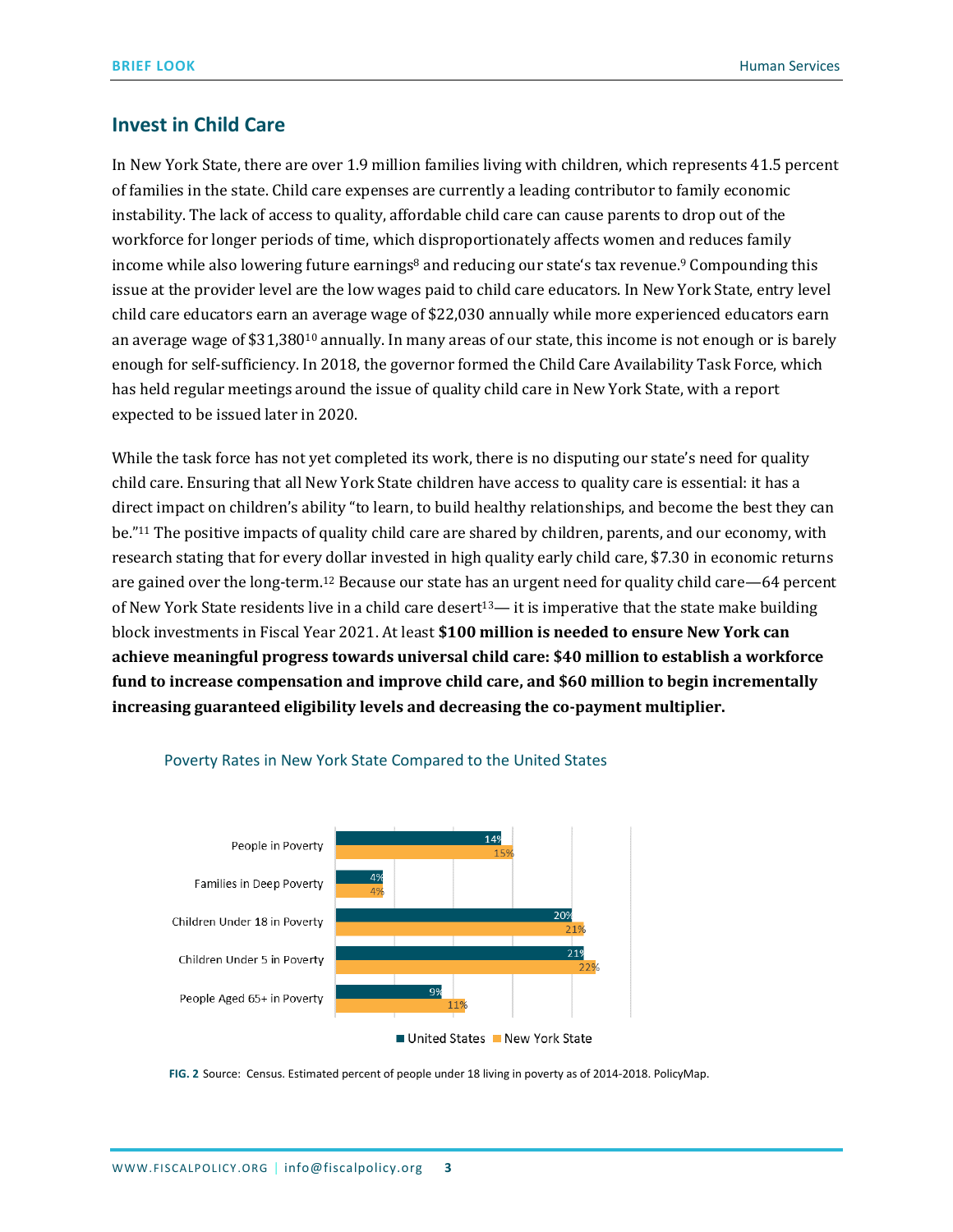# **Invest in Child Care**

In New York State, there are over 1.9 million families living with children, which represents 41.5 percent of families in the state. Child care expenses are currently a leading contributor to family economic instability. The lack of access to quality, affordable child care can cause parents to drop out of the workforce for longer periods of time, which disproportionately affects women and reduces family income while also lowering future earnings<sup>8</sup> and reducing our state's tax revenue.<sup>9</sup> Compounding this issue at the provider level are the low wages paid to child care educators. In New York State, entry level child care educators earn an average wage of \$22,030 annually while more experienced educators earn an average wage of \$31,380<sup>10</sup> annually. In many areas of our state, this income is not enough or is barely enough for self-sufficiency. In 2018, the governor formed the Child Care Availability Task Force, which has held regular meetings around the issue of quality child care in New York State, with a report expected to be issued later in 2020.

While the task force has not yet completed its work, there is no disputing our state's need for quality child care. Ensuring that all New York State children have access to quality care is essential: it has a direct impact on children's ability "to learn, to build healthy relationships, and become the best they can be." <sup>11</sup> The positive impacts of quality child care are shared by children, parents, and our economy, with research stating that for every dollar invested in high quality early child care, \$7.30 in economic returns are gained over the long-term.<sup>12</sup> Because our state has an urgent need for quality child care—64 percent of New York State residents live in a child care desert<sup>13</sup>— it is imperative that the state make building block investments in Fiscal Year 2021. At least **\$100 million is needed to ensure New York can achieve meaningful progress towards universal child care: \$40 million to establish a workforce fund to increase compensation and improve child care, and \$60 million to begin incrementally increasing guaranteed eligibility levels and decreasing the co-payment multiplier.**



#### Poverty Rates in New York State Compared to the United States

**FIG. 2** Source: Census. Estimated percent of people under 18 living in poverty as of 2014-2018. PolicyMap.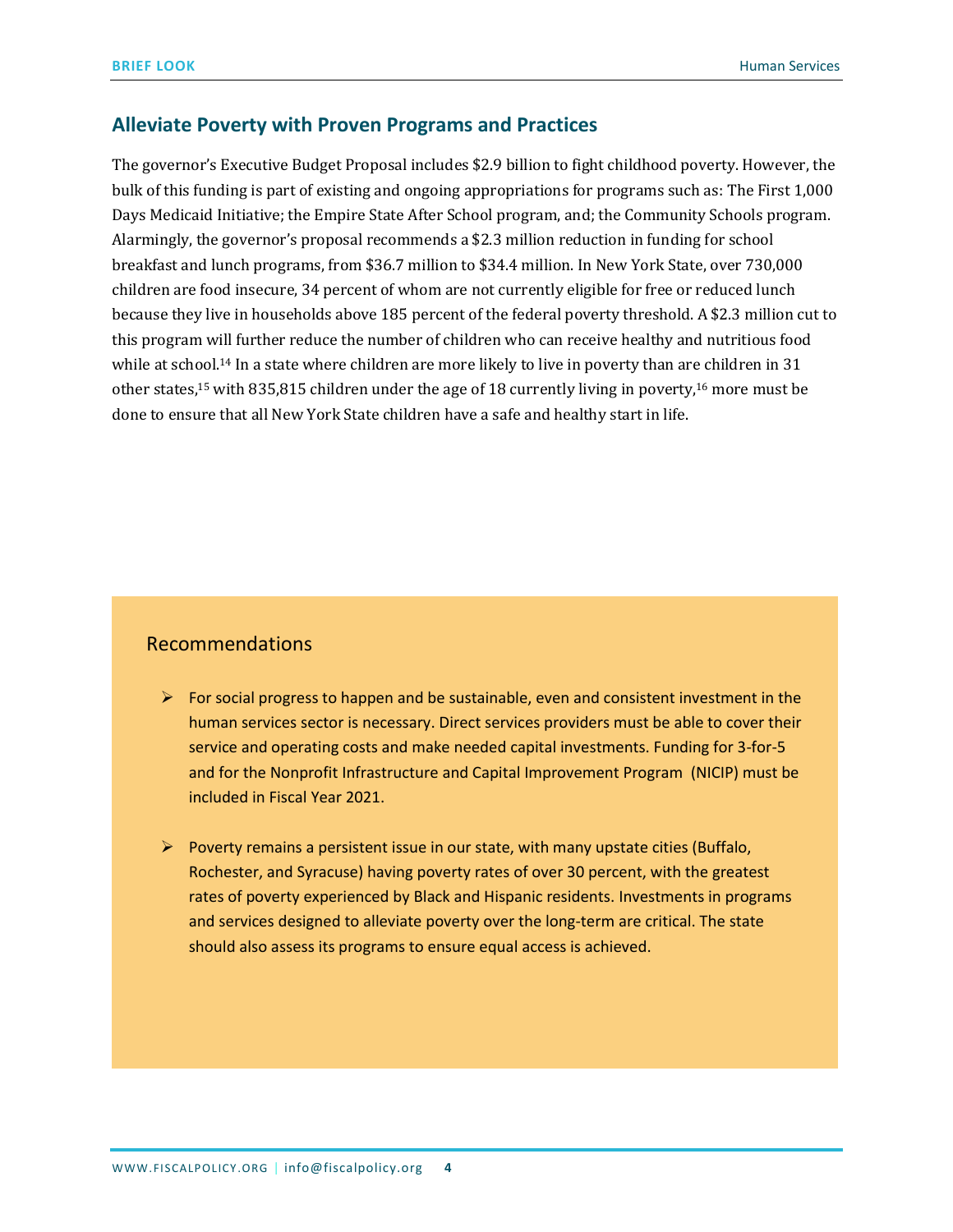## **Alleviate Poverty with Proven Programs and Practices**

The governor's Executive Budget Proposal includes \$2.9 billion to fight childhood poverty. However, the bulk of this funding is part of existing and ongoing appropriations for programs such as: The First 1,000 Days Medicaid Initiative; the Empire State After School program, and; the Community Schools program. Alarmingly, the governor's proposal recommends a \$2.3 million reduction in funding for school breakfast and lunch programs, from \$36.7 million to \$34.4 million. In New York State, over 730,000 children are food insecure, 34 percent of whom are not currently eligible for free or reduced lunch because they live in households above 185 percent of the federal poverty threshold. A \$2.3 million cut to this program will further reduce the number of children who can receive healthy and nutritious food while at school.<sup>14</sup> In a state where children are more likely to live in poverty than are children in 31 other states,<sup>15</sup> with 835,815 children under the age of 18 currently living in poverty,<sup>16</sup> more must be done to ensure that all New York State children have a safe and healthy start in life.

# Recommendations

- $\triangleright$  For social progress to happen and be sustainable, even and consistent investment in the human services sector is necessary. Direct services providers must be able to cover their service and operating costs and make needed capital investments. Funding for 3-for-5 and for the Nonprofit Infrastructure and Capital Improvement Program (NICIP) must be included in Fiscal Year 2021.
- $\triangleright$  Poverty remains a persistent issue in our state, with many upstate cities (Buffalo, Rochester, and Syracuse) having poverty rates of over 30 percent, with the greatest rates of poverty experienced by Black and Hispanic residents. Investments in programs and services designed to alleviate poverty over the long-term are critical. The state should also assess its programs to ensure equal access is achieved.